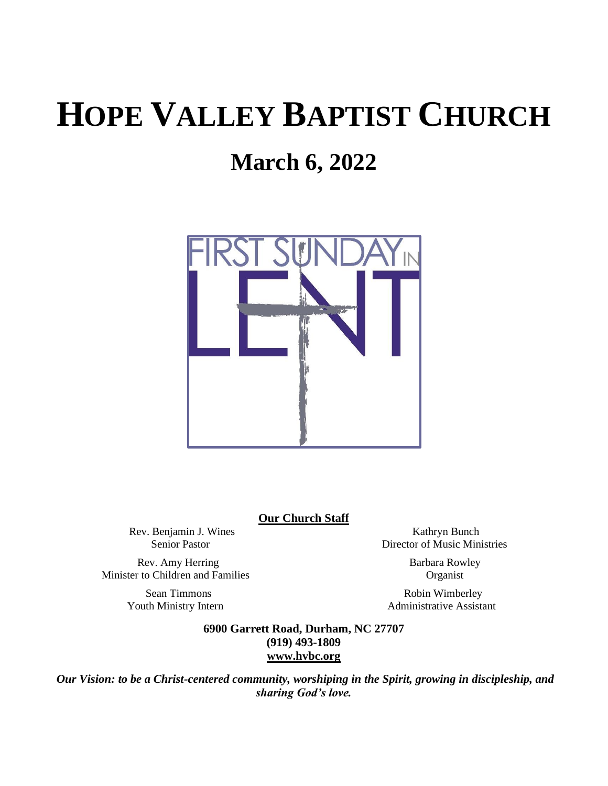# **HOPE VALLEY BAPTIST CHURCH**

## **March 6, 2022**



**Our Church Staff**

Rev. Benjamin J. Wines Kathryn Bunch

Rev. Amy Herring Barbara Rowley Minister to Children and Families Organist

Senior Pastor Director of Music Ministries

Sean Timmons Robin Wimberley Youth Ministry Intern **Administrative Assistant** 

> **6900 Garrett Road, Durham, NC 27707 (919) 493-1809 [www.hvbc.org](https://nam02.safelinks.protection.outlook.com/?url=http%3A%2F%2Fwww.hvbc.org%2F&data=04%7C01%7Crobin%40hvbc.org%7Ca1947220efe048d45f2008d90f3f5013%7C19334143b857471a909f515a9e93cce3%7C0%7C0%7C637557586922368739%7CUnknown%7CTWFpbGZsb3d8eyJWIjoiMC4wLjAwMDAiLCJQIjoiV2luMzIiLCJBTiI6Ik1haWwiLCJXVCI6Mn0%3D%7C1000&sdata=vD8UY%2Ft%2Bw4fHfO%2FGyoDO3ShGm4jsX4L5zIVu36neNyk%3D&reserved=0)**

*Our Vision: to be a Christ-centered community, worshiping in the Spirit, growing in discipleship, and sharing God's love.*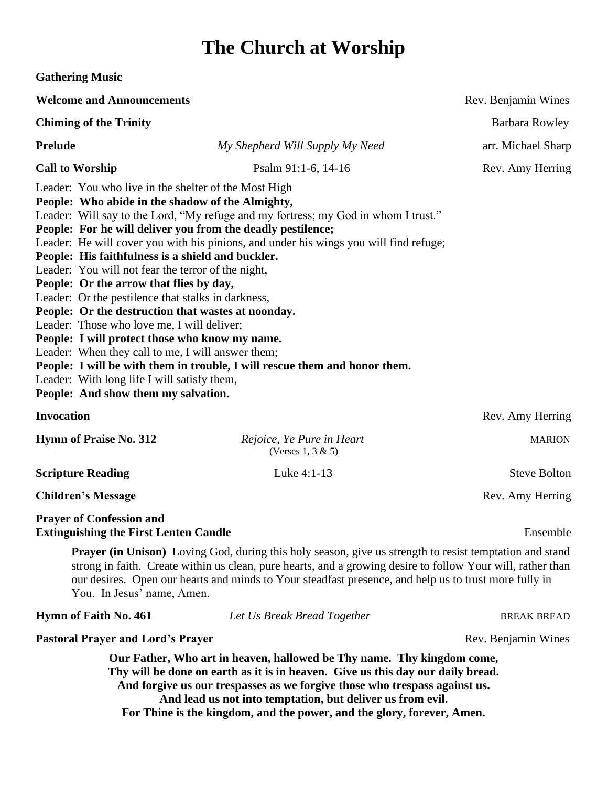### **The Church at Worship**

| <b>Gathering Music</b>                                                                                                                                                                                                                                                                                                                                                                                                                                                                                                                                                                                                                                                                                                                                                                                                                                                                                                                            |                                                    |                       |
|---------------------------------------------------------------------------------------------------------------------------------------------------------------------------------------------------------------------------------------------------------------------------------------------------------------------------------------------------------------------------------------------------------------------------------------------------------------------------------------------------------------------------------------------------------------------------------------------------------------------------------------------------------------------------------------------------------------------------------------------------------------------------------------------------------------------------------------------------------------------------------------------------------------------------------------------------|----------------------------------------------------|-----------------------|
| <b>Welcome and Announcements</b>                                                                                                                                                                                                                                                                                                                                                                                                                                                                                                                                                                                                                                                                                                                                                                                                                                                                                                                  |                                                    | Rev. Benjamin Wines   |
| <b>Chiming of the Trinity</b>                                                                                                                                                                                                                                                                                                                                                                                                                                                                                                                                                                                                                                                                                                                                                                                                                                                                                                                     |                                                    | <b>Barbara Rowley</b> |
| <b>Prelude</b>                                                                                                                                                                                                                                                                                                                                                                                                                                                                                                                                                                                                                                                                                                                                                                                                                                                                                                                                    | My Shepherd Will Supply My Need                    | arr. Michael Sharp    |
| <b>Call to Worship</b>                                                                                                                                                                                                                                                                                                                                                                                                                                                                                                                                                                                                                                                                                                                                                                                                                                                                                                                            | Psalm 91:1-6, 14-16                                | Rev. Amy Herring      |
| Leader: You who live in the shelter of the Most High<br>People: Who abide in the shadow of the Almighty,<br>Leader: Will say to the Lord, "My refuge and my fortress; my God in whom I trust."<br>People: For he will deliver you from the deadly pestilence;<br>Leader: He will cover you with his pinions, and under his wings you will find refuge;<br>People: His faithfulness is a shield and buckler.<br>Leader: You will not fear the terror of the night,<br>People: Or the arrow that flies by day,<br>Leader: Or the pestilence that stalks in darkness,<br>People: Or the destruction that wastes at noonday.<br>Leader: Those who love me, I will deliver;<br>People: I will protect those who know my name.<br>Leader: When they call to me, I will answer them;<br>People: I will be with them in trouble, I will rescue them and honor them.<br>Leader: With long life I will satisfy them,<br>People: And show them my salvation. |                                                    |                       |
| <b>Invocation</b>                                                                                                                                                                                                                                                                                                                                                                                                                                                                                                                                                                                                                                                                                                                                                                                                                                                                                                                                 |                                                    | Rev. Amy Herring      |
| <b>Hymn of Praise No. 312</b>                                                                                                                                                                                                                                                                                                                                                                                                                                                                                                                                                                                                                                                                                                                                                                                                                                                                                                                     | Rejoice, Ye Pure in Heart<br>(Verses $1, 3 \& 5$ ) | <b>MARION</b>         |
| <b>Scripture Reading</b>                                                                                                                                                                                                                                                                                                                                                                                                                                                                                                                                                                                                                                                                                                                                                                                                                                                                                                                          | Luke 4:1-13                                        | <b>Steve Bolton</b>   |
| <b>Children's Message</b>                                                                                                                                                                                                                                                                                                                                                                                                                                                                                                                                                                                                                                                                                                                                                                                                                                                                                                                         |                                                    | Rev. Amy Herring      |
| <b>Prayer of Confession and</b><br><b>Extinguishing the First Lenten Candle</b><br>Ensemble                                                                                                                                                                                                                                                                                                                                                                                                                                                                                                                                                                                                                                                                                                                                                                                                                                                       |                                                    |                       |
| <b>Prayer (in Unison)</b> Loving God, during this holy season, give us strength to resist temptation and stand<br>strong in faith. Create within us clean, pure hearts, and a growing desire to follow Your will, rather than<br>our desires. Open our hearts and minds to Your steadfast presence, and help us to trust more fully in<br>You. In Jesus' name, Amen.                                                                                                                                                                                                                                                                                                                                                                                                                                                                                                                                                                              |                                                    |                       |
| Hymn of Faith No. 461                                                                                                                                                                                                                                                                                                                                                                                                                                                                                                                                                                                                                                                                                                                                                                                                                                                                                                                             | Let Us Break Bread Together                        | <b>BREAK BREAD</b>    |
| <b>Pastoral Prayer and Lord's Prayer</b>                                                                                                                                                                                                                                                                                                                                                                                                                                                                                                                                                                                                                                                                                                                                                                                                                                                                                                          |                                                    | Rev. Benjamin Wines   |

**Our Father, Who art in heaven, hallowed be Thy name. Thy kingdom come, Thy will be done on earth as it is in heaven. Give us this day our daily bread. And forgive us our trespasses as we forgive those who trespass against us. And lead us not into temptation, but deliver us from evil. For Thine is the kingdom, and the power, and the glory, forever, Amen.**